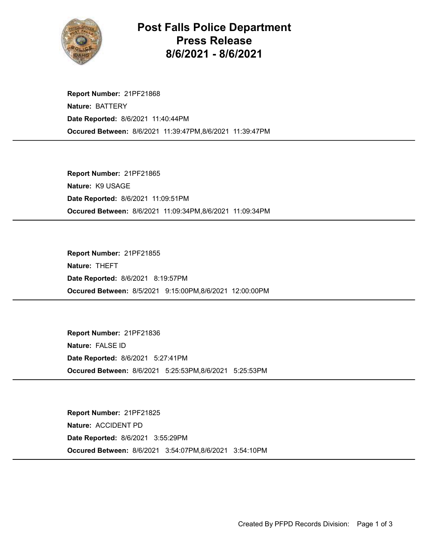

## Post Falls Police Department Press Release 8/6/2021 - 8/6/2021

Occured Between: 8/6/2021 11:39:47PM,8/6/2021 11:39:47PM Report Number: 21PF21868 Nature: BATTERY Date Reported: 8/6/2021 11:40:44PM

Occured Between: 8/6/2021 11:09:34PM,8/6/2021 11:09:34PM Report Number: 21PF21865 Nature: K9 USAGE Date Reported: 8/6/2021 11:09:51PM

Occured Between: 8/5/2021 9:15:00PM,8/6/2021 12:00:00PM Report Number: 21PF21855 Nature: THEFT Date Reported: 8/6/2021 8:19:57PM

Occured Between: 8/6/2021 5:25:53PM,8/6/2021 5:25:53PM Report Number: 21PF21836 Nature: FALSE ID Date Reported: 8/6/2021 5:27:41PM

Occured Between: 8/6/2021 3:54:07PM,8/6/2021 3:54:10PM Report Number: 21PF21825 Nature: ACCIDENT PD Date Reported: 8/6/2021 3:55:29PM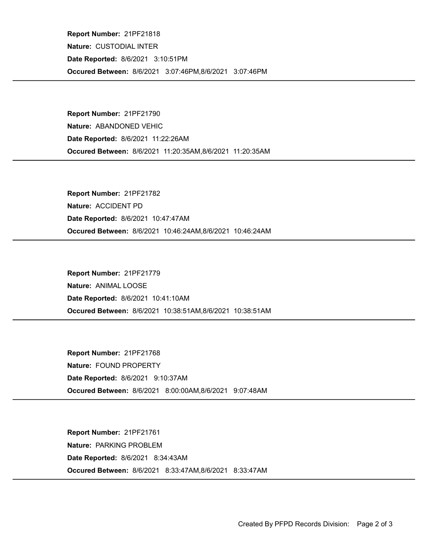Occured Between: 8/6/2021 3:07:46PM,8/6/2021 3:07:46PM Report Number: 21PF21818 Nature: CUSTODIAL INTER Date Reported: 8/6/2021 3:10:51PM

Occured Between: 8/6/2021 11:20:35AM,8/6/2021 11:20:35AM Report Number: 21PF21790 Nature: ABANDONED VEHIC Date Reported: 8/6/2021 11:22:26AM

Occured Between: 8/6/2021 10:46:24AM,8/6/2021 10:46:24AM Report Number: 21PF21782 Nature: ACCIDENT PD Date Reported: 8/6/2021 10:47:47AM

Occured Between: 8/6/2021 10:38:51AM,8/6/2021 10:38:51AM Report Number: 21PF21779 Nature: ANIMAL LOOSE Date Reported: 8/6/2021 10:41:10AM

Occured Between: 8/6/2021 8:00:00AM,8/6/2021 9:07:48AM Report Number: 21PF21768 Nature: FOUND PROPERTY Date Reported: 8/6/2021 9:10:37AM

Occured Between: 8/6/2021 8:33:47AM,8/6/2021 8:33:47AM Report Number: 21PF21761 Nature: PARKING PROBLEM Date Reported: 8/6/2021 8:34:43AM